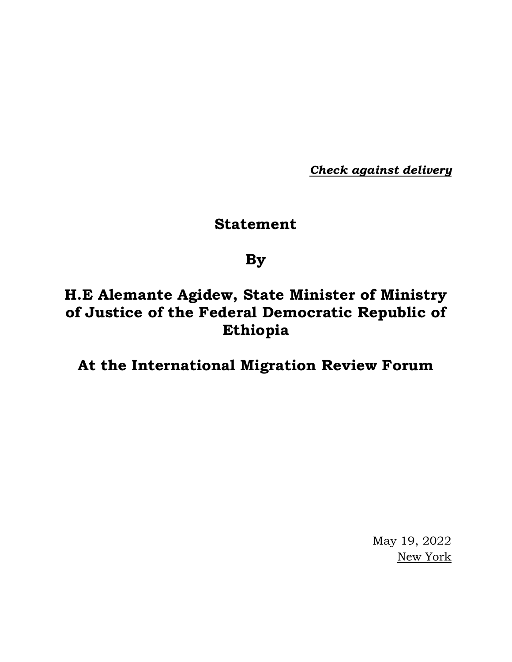*Check against delivery*

# **Statement**

### **By**

# **H.E Alemante Agidew, State Minister of Ministry of Justice of the Federal Democratic Republic of Ethiopia**

### **At the International Migration Review Forum**

May 19, 2022 New York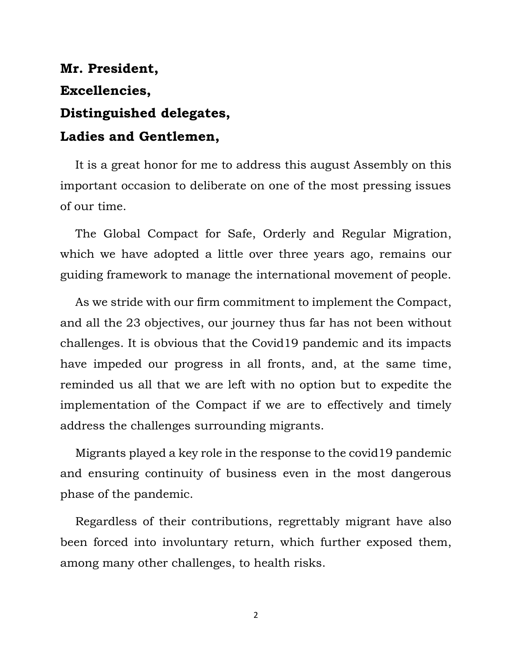# **Mr. President, Excellencies, Distinguished delegates, Ladies and Gentlemen,**

It is a great honor for me to address this august Assembly on this important occasion to deliberate on one of the most pressing issues of our time.

The Global Compact for Safe, Orderly and Regular Migration, which we have adopted a little over three years ago, remains our guiding framework to manage the international movement of people.

As we stride with our firm commitment to implement the Compact, and all the 23 objectives, our journey thus far has not been without challenges. It is obvious that the Covid19 pandemic and its impacts have impeded our progress in all fronts, and, at the same time, reminded us all that we are left with no option but to expedite the implementation of the Compact if we are to effectively and timely address the challenges surrounding migrants.

Migrants played a key role in the response to the covid19 pandemic and ensuring continuity of business even in the most dangerous phase of the pandemic.

Regardless of their contributions, regrettably migrant have also been forced into involuntary return, which further exposed them, among many other challenges, to health risks.

2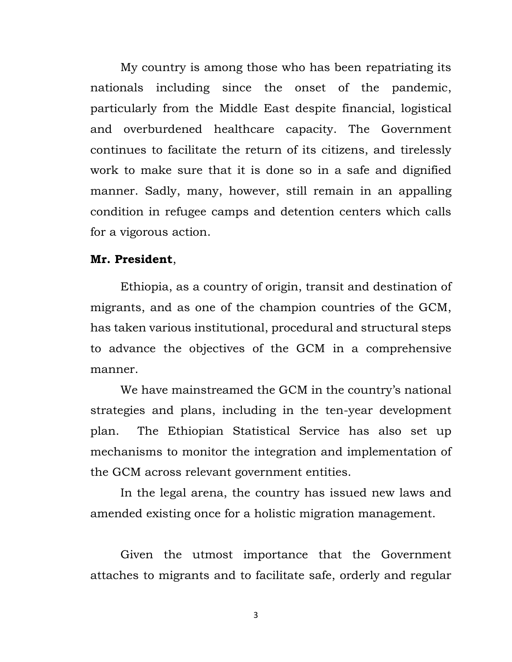My country is among those who has been repatriating its nationals including since the onset of the pandemic, particularly from the Middle East despite financial, logistical and overburdened healthcare capacity. The Government continues to facilitate the return of its citizens, and tirelessly work to make sure that it is done so in a safe and dignified manner. Sadly, many, however, still remain in an appalling condition in refugee camps and detention centers which calls for a vigorous action.

#### **Mr. President**,

Ethiopia, as a country of origin, transit and destination of migrants, and as one of the champion countries of the GCM, has taken various institutional, procedural and structural steps to advance the objectives of the GCM in a comprehensive manner.

We have mainstreamed the GCM in the country's national strategies and plans, including in the ten-year development plan. The Ethiopian Statistical Service has also set up mechanisms to monitor the integration and implementation of the GCM across relevant government entities.

In the legal arena, the country has issued new laws and amended existing once for a holistic migration management.

Given the utmost importance that the Government attaches to migrants and to facilitate safe, orderly and regular

3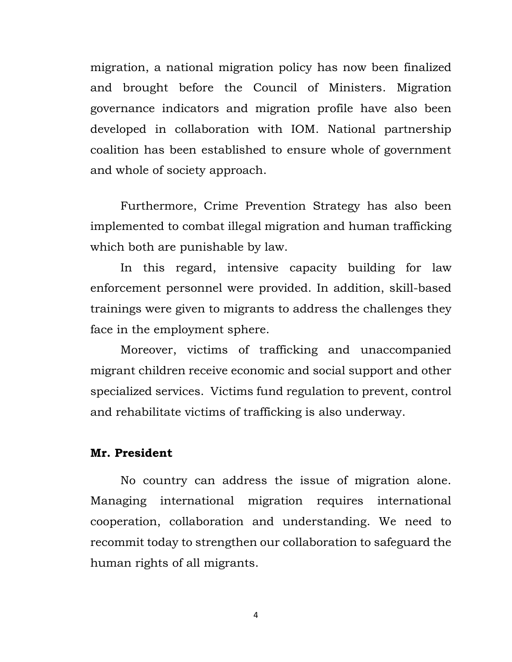migration, a national migration policy has now been finalized and brought before the Council of Ministers. Migration governance indicators and migration profile have also been developed in collaboration with IOM. National partnership coalition has been established to ensure whole of government and whole of society approach.

Furthermore, Crime Prevention Strategy has also been implemented to combat illegal migration and human trafficking which both are punishable by law.

In this regard, intensive capacity building for law enforcement personnel were provided. In addition, skill-based trainings were given to migrants to address the challenges they face in the employment sphere.

Moreover, victims of trafficking and unaccompanied migrant children receive economic and social support and other specialized services. Victims fund regulation to prevent, control and rehabilitate victims of trafficking is also underway.

#### **Mr. President**

No country can address the issue of migration alone. Managing international migration requires international cooperation, collaboration and understanding. We need to recommit today to strengthen our collaboration to safeguard the human rights of all migrants.

4